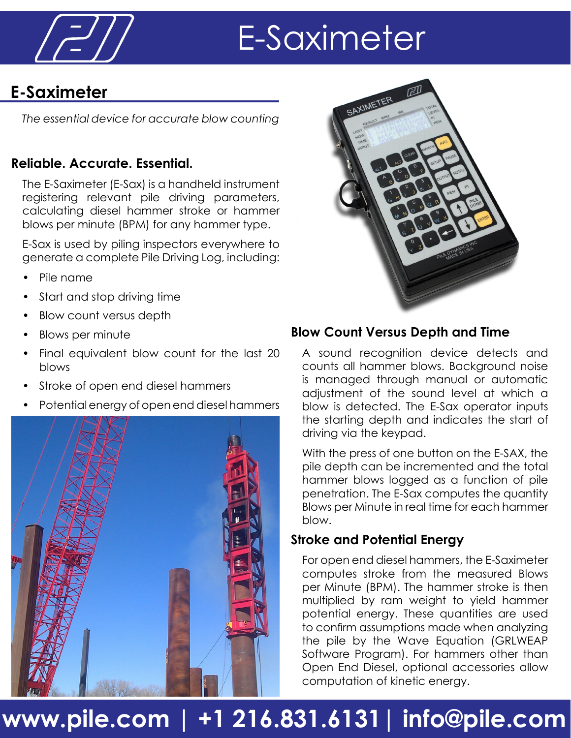

# E-Saximeter

### **E-Saximeter**

*The essential device for accurate blow counting*

#### **Reliable. Accurate. Essential.**

The E-Saximeter (E-Sax) is a handheld instrument registering relevant pile driving parameters, calculating diesel hammer stroke or hammer blows per minute (BPM) for any hammer type.

E-Sax is used by piling inspectors everywhere to generate a complete Pile Driving Log, including:

- Pile name
- Start and stop driving time
- Blow count versus depth
- Blows per minute
- Final equivalent blow count for the last 20 blows
- Stroke of open end diesel hammers
- Potential energy of open end diesel hammers





#### **Blow Count Versus Depth and Time**

A sound recognition device detects and counts all hammer blows. Background noise is managed through manual or automatic adjustment of the sound level at which a blow is detected. The E-Sax operator inputs the starting depth and indicates the start of driving via the keypad.

With the press of one button on the E-SAX, the pile depth can be incremented and the total hammer blows logged as a function of pile penetration. The E-Sax computes the quantity Blows per Minute in real time for each hammer blow.

#### **Stroke and Potential Energy**

For open end diesel hammers, the E-Saximeter computes stroke from the measured Blows per Minute (BPM). The hammer stroke is then multiplied by ram weight to yield hammer potential energy. These quantities are used to confirm assumptions made when analyzing the pile by the Wave Equation (GRLWEAP Software Program). For hammers other than Open End Diesel, optional accessories allow computation of kinetic energy.

### **www.pile.com | +1 216.831.6131| info@pile.com**